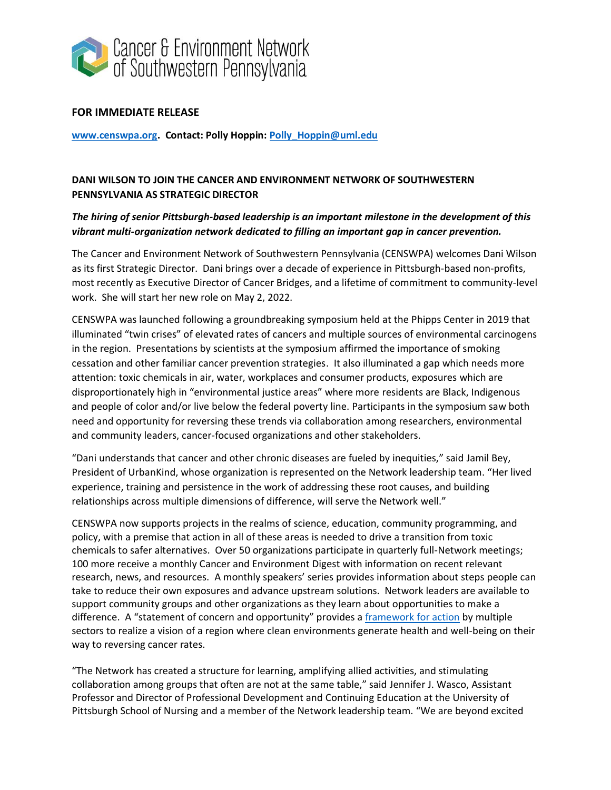

## **FOR IMMEDIATE RELEASE**

**[www.censwpa.org.](about:blank) Contact: Polly Hoppin: [Polly\\_Hoppin@uml.edu](about:blank)**

## **DANI WILSON TO JOIN THE CANCER AND ENVIRONMENT NETWORK OF SOUTHWESTERN PENNSYLVANIA AS STRATEGIC DIRECTOR**

## *The hiring of senior Pittsburgh-based leadership is an important milestone in the development of this vibrant multi-organization network dedicated to filling an important gap in cancer prevention.*

The Cancer and Environment Network of Southwestern Pennsylvania (CENSWPA) welcomes Dani Wilson as its first Strategic Director. Dani brings over a decade of experience in Pittsburgh-based non-profits, most recently as Executive Director of Cancer Bridges, and a lifetime of commitment to community-level work. She will start her new role on May 2, 2022.

CENSWPA was launched following a groundbreaking symposium held at the Phipps Center in 2019 that illuminated "twin crises" of elevated rates of cancers and multiple sources of environmental carcinogens in the region. Presentations by scientists at the symposium affirmed the importance of smoking cessation and other familiar cancer prevention strategies. It also illuminated a gap which needs more attention: toxic chemicals in air, water, workplaces and consumer products, exposures which are disproportionately high in "environmental justice areas" where more residents are Black, Indigenous and people of color and/or live below the federal poverty line. Participants in the symposium saw both need and opportunity for reversing these trends via collaboration among researchers, environmental and community leaders, cancer-focused organizations and other stakeholders.

"Dani understands that cancer and other chronic diseases are fueled by inequities," said Jamil Bey, President of UrbanKind, whose organization is represented on the Network leadership team. "Her lived experience, training and persistence in the work of addressing these root causes, and building relationships across multiple dimensions of difference, will serve the Network well."

CENSWPA now supports projects in the realms of science, education, community programming, and policy, with a premise that action in all of these areas is needed to drive a transition from toxic chemicals to safer alternatives. Over 50 organizations participate in quarterly full-Network meetings; 100 more receive a monthly Cancer and Environment Digest with information on recent relevant research, news, and resources. A monthly speakers' series provides information about steps people can take to reduce their own exposures and advance upstream solutions. Network leaders are available to support community groups and other organizations as they learn about opportunities to make a difference. A "statement of concern and opportunity" provides a [framework for action](about:blank) by multiple sectors to realize a vision of a region where clean environments generate health and well-being on their way to reversing cancer rates.

"The Network has created a structure for learning, amplifying allied activities, and stimulating collaboration among groups that often are not at the same table," said Jennifer J. Wasco, Assistant Professor and Director of Professional Development and Continuing Education at the University of Pittsburgh School of Nursing and a member of the Network leadership team. "We are beyond excited